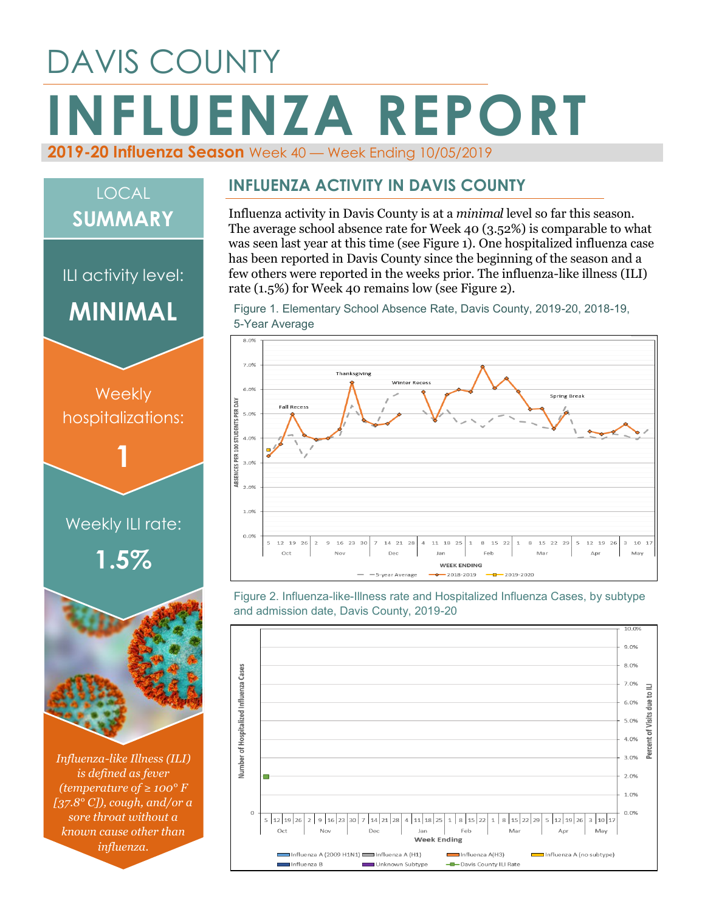# DAVIS COUNTY **INFLUENZA REPORT 2019-20 Influenza Season** Week 40 — Week Ending 10/05/2019

# **Weekly** hospitalizations: **1** ILI activity level: **MINIMAL** LOCAL **SUMMARY**

# Weekly ILI rate: **1.5%**



*Influenza-like Illness (ILI) is defined as fever (temperature of ≥ 100° F [37.8° C]), cough, and/or a sore throat without a known cause other than influenza.*

#### **INFLUENZA ACTIVITY IN DAVIS COUNTY**

Influenza activity in Davis County is at a *minimal* level so far this season. The average school absence rate for Week 40 (3.52%) is comparable to what was seen last year at this time (see Figure 1). One hospitalized influenza case has been reported in Davis County since the beginning of the season and a few others were reported in the weeks prior. The influenza-like illness (ILI) rate (1.5%) for Week 40 remains low (see Figure 2).

Figure 1. Elementary School Absence Rate, Davis County, 2019-20, 2018-19, 5-Year Average



Figure 2. Influenza-like-Illness rate and Hospitalized Influenza Cases, by subtype and admission date, Davis County, 2019-20